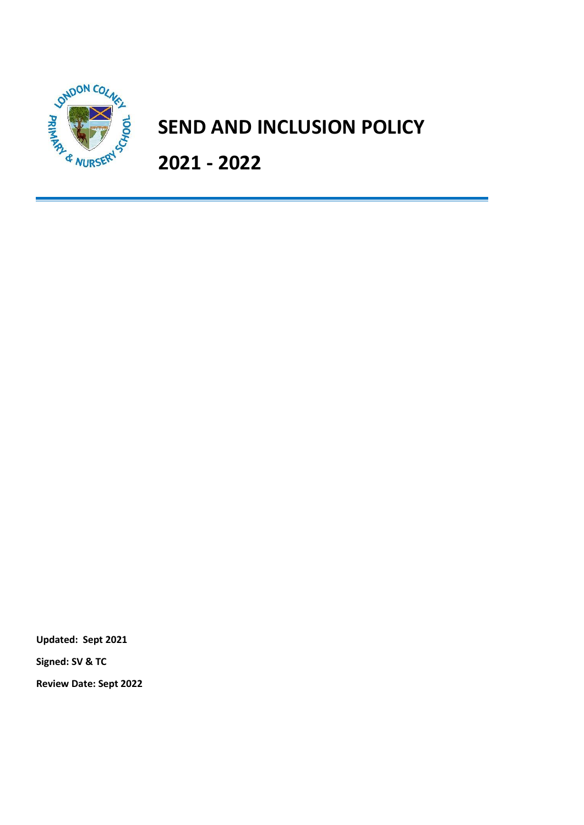

# **SEND AND INCLUSION POLICY**

**2021 - 2022**

**Updated: Sept 2021**

**Signed: SV & TC**

**Review Date: Sept 2022**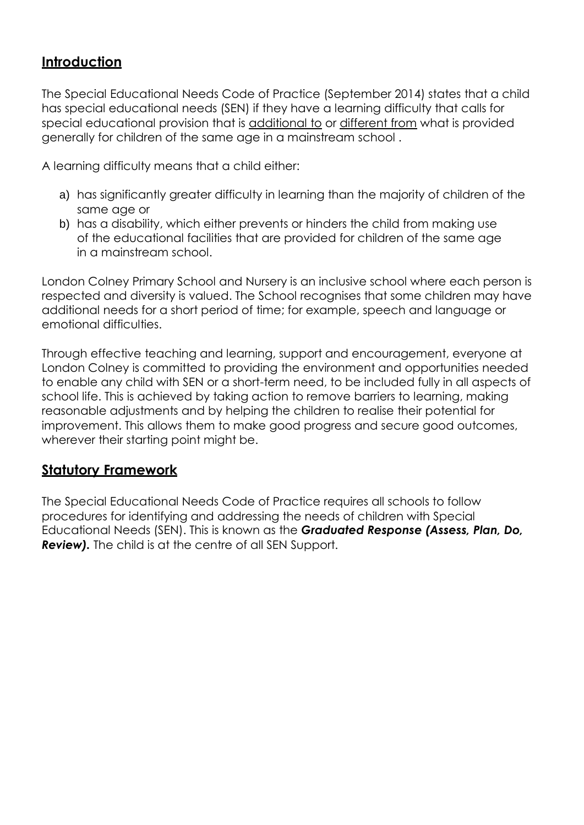## **Introduction**

The Special Educational Needs Code of Practice (September 2014) states that a child has special educational needs (SEN) if they have a learning difficulty that calls for special educational provision that is additional to or different from what is provided generally for children of the same age in a mainstream school .

A learning difficulty means that a child either:

- a) has significantly greater difficulty in learning than the majority of children of the same age or
- b) has a disability, which either prevents or hinders the child from making use of the educational facilities that are provided for children of the same age in a mainstream school.

London Colney Primary School and Nursery is an inclusive school where each person is respected and diversity is valued. The School recognises that some children may have additional needs for a short period of time; for example, speech and language or emotional difficulties.

Through effective teaching and learning, support and encouragement, everyone at London Colney is committed to providing the environment and opportunities needed to enable any child with SEN or a short-term need, to be included fully in all aspects of school life. This is achieved by taking action to remove barriers to learning, making reasonable adjustments and by helping the children to realise their potential for improvement. This allows them to make good progress and secure good outcomes, wherever their starting point might be.

#### **Statutory Framework**

The Special Educational Needs Code of Practice requires all schools to follow procedures for identifying and addressing the needs of children with Special Educational Needs (SEN). This is known as the *Graduated Response (Assess, Plan, Do, Review).* The child is at the centre of all SEN Support.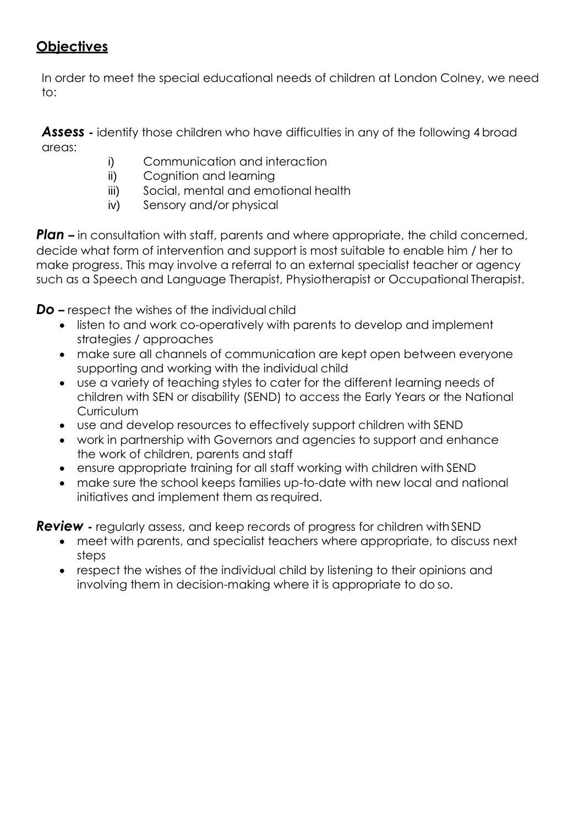# **Objectives**

In order to meet the special educational needs of children at London Colney, we need to:

**Assess** - identify those children who have difficulties in any of the following 4 broad areas:

- i) Communication and interaction
- ii) Cognition and learning
- iii) Social, mental and emotional health
- iv) Sensory and/or physical

**Plan –** in consultation with staff, parents and where appropriate, the child concerned, decide what form of intervention and support is most suitable to enable him / her to make progress. This may involve a referral to an external specialist teacher or agency such as a Speech and Language Therapist, Physiotherapist or Occupational Therapist.

*Do –* respect the wishes of the individual child

- listen to and work co-operatively with parents to develop and implement strategies / approaches
- make sure all channels of communication are kept open between everyone supporting and working with the individual child
- use a variety of teaching styles to cater for the different learning needs of children with SEN or disability (SEND) to access the Early Years or the National **Curriculum**
- use and develop resources to effectively support children with SEND
- work in partnership with Governors and agencies to support and enhance the work of children, parents and staff
- ensure appropriate training for all staff working with children with SEND
- make sure the school keeps families up-to-date with new local and national initiatives and implement them as required.

*Review -* regularly assess, and keep records of progress for children with SEND

- meet with parents, and specialist teachers where appropriate, to discuss next steps
- respect the wishes of the individual child by listening to their opinions and involving them in decision-making where it is appropriate to do so.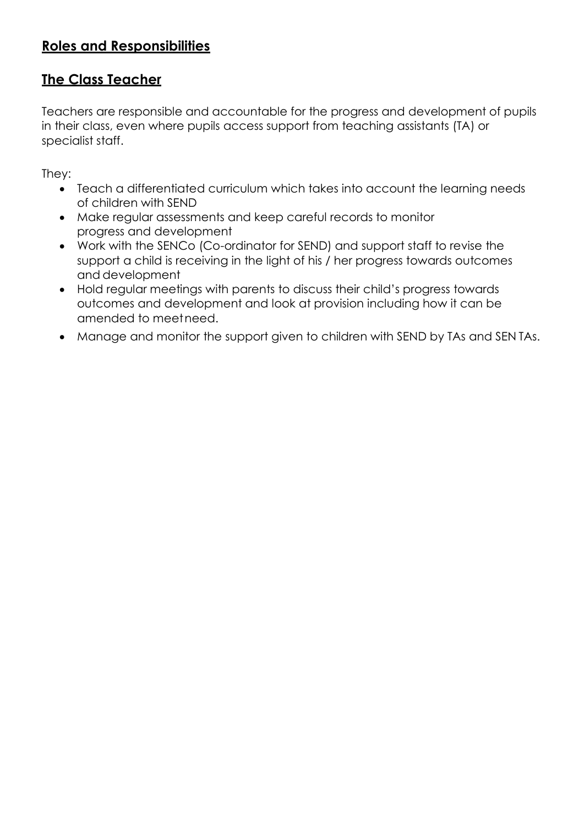# **Roles and Responsibilities**

## **The Class Teacher**

Teachers are responsible and accountable for the progress and development of pupils in their class, even where pupils access support from teaching assistants (TA) or specialist staff.

They:

- Teach a differentiated curriculum which takes into account the learning needs of children with SEND
- Make regular assessments and keep careful records to monitor progress and development
- Work with the SENCo (Co-ordinator for SEND) and support staff to revise the support a child is receiving in the light of his / her progress towards outcomes and development
- Hold regular meetings with parents to discuss their child's progress towards outcomes and development and look at provision including how it can be amended to meetneed.
- Manage and monitor the support given to children with SEND by TAs and SEN TAs.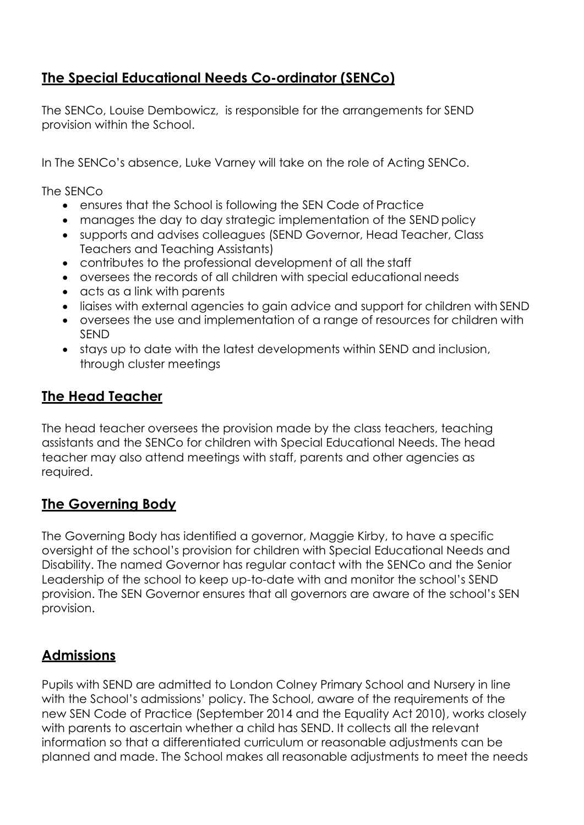## **The Special Educational Needs Co-ordinator (SENCo)**

The SENCo, Louise Dembowicz, is responsible for the arrangements for SEND provision within the School.

In The SENCo's absence, Luke Varney will take on the role of Acting SENCo.

The SENCo

- ensures that the School is following the SEN Code of Practice
- manages the day to day strategic implementation of the SEND policy
- supports and advises colleagues (SEND Governor, Head Teacher, Class Teachers and Teaching Assistants)
- contributes to the professional development of all the staff
- oversees the records of all children with special educational needs
- acts as a link with parents
- liaises with external agencies to gain advice and support for children with SEND
- oversees the use and implementation of a range of resources for children with SEND
- stays up to date with the latest developments within SEND and inclusion, through cluster meetings

#### **The Head Teacher**

The head teacher oversees the provision made by the class teachers, teaching assistants and the SENCo for children with Special Educational Needs. The head teacher may also attend meetings with staff, parents and other agencies as required.

#### **The Governing Body**

The Governing Body has identified a governor, Maggie Kirby, to have a specific oversight of the school's provision for children with Special Educational Needs and Disability. The named Governor has regular contact with the SENCo and the Senior Leadership of the school to keep up-to-date with and monitor the school's SEND provision. The SEN Governor ensures that all governors are aware of the school's SEN provision.

## **Admissions**

Pupils with SEND are admitted to London Colney Primary School and Nursery in line with the School's admissions' policy. The School, aware of the requirements of the new SEN Code of Practice (September 2014 and the Equality Act 2010), works closely with parents to ascertain whether a child has SEND. It collects all the relevant information so that a differentiated curriculum or reasonable adjustments can be planned and made. The School makes all reasonable adjustments to meet the needs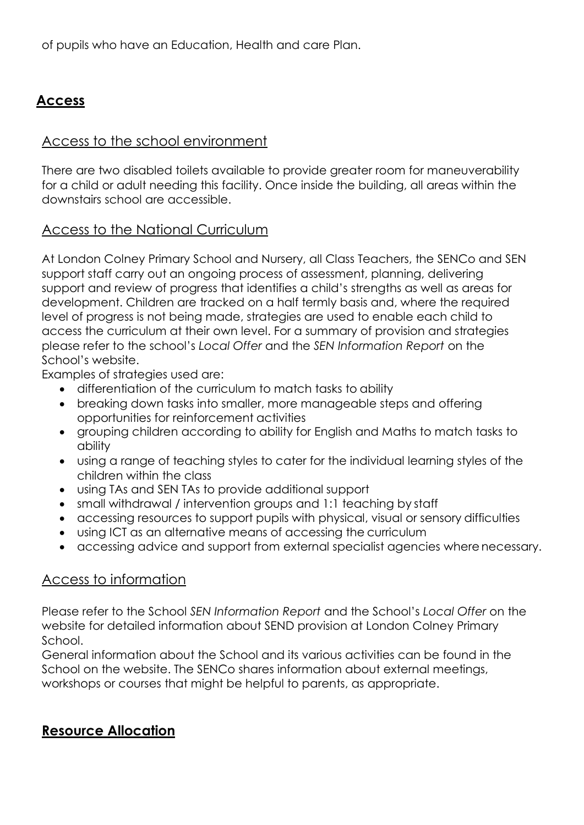of pupils who have an Education, Health and care Plan.

# **Access**

## Access to the school environment

There are two disabled toilets available to provide greater room for maneuverability for a child or adult needing this facility. Once inside the building, all areas within the downstairs school are accessible.

#### Access to the National Curriculum

At London Colney Primary School and Nursery, all Class Teachers, the SENCo and SEN support staff carry out an ongoing process of assessment, planning, delivering support and review of progress that identifies a child's strengths as well as areas for development. Children are tracked on a half termly basis and, where the required level of progress is not being made, strategies are used to enable each child to access the curriculum at their own level. For a summary of provision and strategies please refer to the school's *Local Offer* and the *SEN Information Report* on the School's website.

Examples of strategies used are:

- differentiation of the curriculum to match tasks to ability
- breaking down tasks into smaller, more manageable steps and offering opportunities for reinforcement activities
- grouping children according to ability for English and Maths to match tasks to ability
- using a range of teaching styles to cater for the individual learning styles of the children within the class
- using TAs and SEN TAs to provide additional support
- small withdrawal / intervention groups and 1:1 teaching by staff
- accessing resources to support pupils with physical, visual or sensory difficulties
- using ICT as an alternative means of accessing the curriculum
- accessing advice and support from external specialist agencies where necessary.

#### Access to information

Please refer to the School *SEN Information Report* and the School's *Local Offer* on the website for detailed information about SEND provision at London Colney Primary School.

General information about the School and its various activities can be found in the School on the website. The SENCo shares information about external meetings, workshops or courses that might be helpful to parents, as appropriate.

#### **Resource Allocation**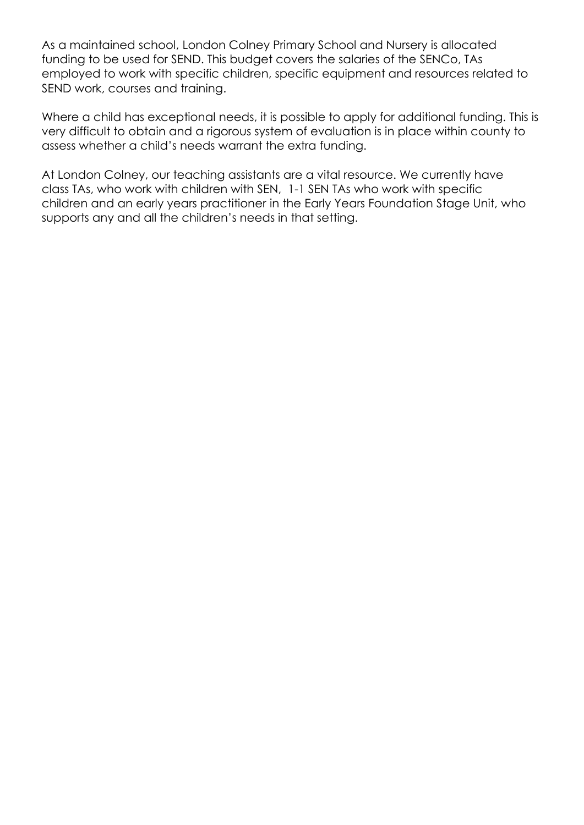As a maintained school, London Colney Primary School and Nursery is allocated funding to be used for SEND. This budget covers the salaries of the SENCo, TAs employed to work with specific children, specific equipment and resources related to SEND work, courses and training.

Where a child has exceptional needs, it is possible to apply for additional funding. This is very difficult to obtain and a rigorous system of evaluation is in place within county to assess whether a child's needs warrant the extra funding.

At London Colney, our teaching assistants are a vital resource. We currently have class TAs, who work with children with SEN, 1-1 SEN TAs who work with specific children and an early years practitioner in the Early Years Foundation Stage Unit, who supports any and all the children's needs in that setting.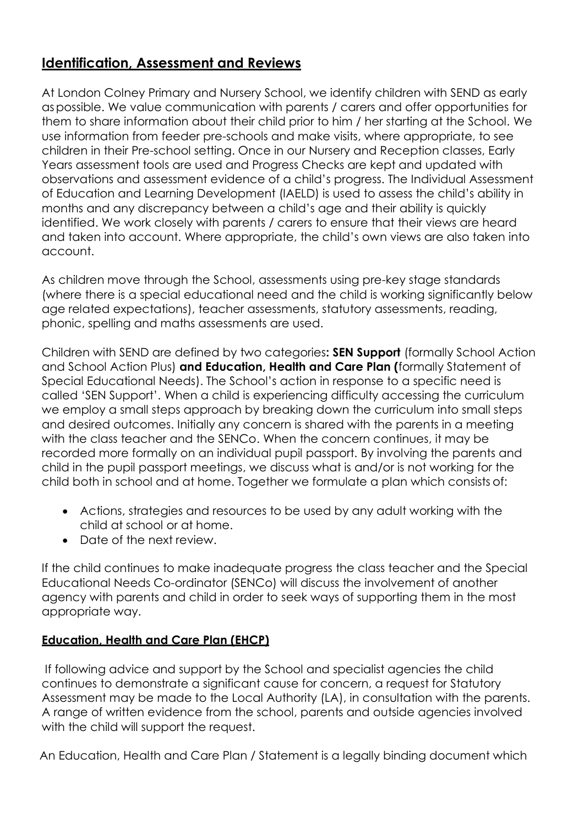# **Identification, Assessment and Reviews**

At London Colney Primary and Nursery School, we identify children with SEND as early aspossible. We value communication with parents / carers and offer opportunities for them to share information about their child prior to him / her starting at the School. We use information from feeder pre-schools and make visits, where appropriate, to see children in their Pre-school setting. Once in our Nursery and Reception classes, Early Years assessment tools are used and Progress Checks are kept and updated with observations and assessment evidence of a child's progress. The Individual Assessment of Education and Learning Development (IAELD) is used to assess the child's ability in months and any discrepancy between a child's age and their ability is quickly identified. We work closely with parents / carers to ensure that their views are heard and taken into account. Where appropriate, the child's own views are also taken into account.

As children move through the School, assessments using pre-key stage standards (where there is a special educational need and the child is working significantly below age related expectations), teacher assessments, statutory assessments, reading, phonic, spelling and maths assessments are used.

Children with SEND are defined by two categories**: SEN Support** (formally School Action and School Action Plus) **and Education, Health and Care Plan (**formally Statement of Special Educational Needs). The School's action in response to a specific need is called 'SEN Support'. When a child is experiencing difficulty accessing the curriculum we employ a small steps approach by breaking down the curriculum into small steps and desired outcomes. Initially any concern is shared with the parents in a meeting with the class teacher and the SENCo. When the concern continues, it may be recorded more formally on an individual pupil passport. By involving the parents and child in the pupil passport meetings, we discuss what is and/or is not working for the child both in school and at home. Together we formulate a plan which consists of:

- Actions, strategies and resources to be used by any adult working with the child at school or at home.
- Date of the next review.

If the child continues to make inadequate progress the class teacher and the Special Educational Needs Co-ordinator (SENCo) will discuss the involvement of another agency with parents and child in order to seek ways of supporting them in the most appropriate way.

#### **Education, Health and Care Plan (EHCP)**

If following advice and support by the School and specialist agencies the child continues to demonstrate a significant cause for concern, a request for Statutory Assessment may be made to the Local Authority (LA), in consultation with the parents. A range of written evidence from the school, parents and outside agencies involved with the child will support the request.

An Education, Health and Care Plan / Statement is a legally binding document which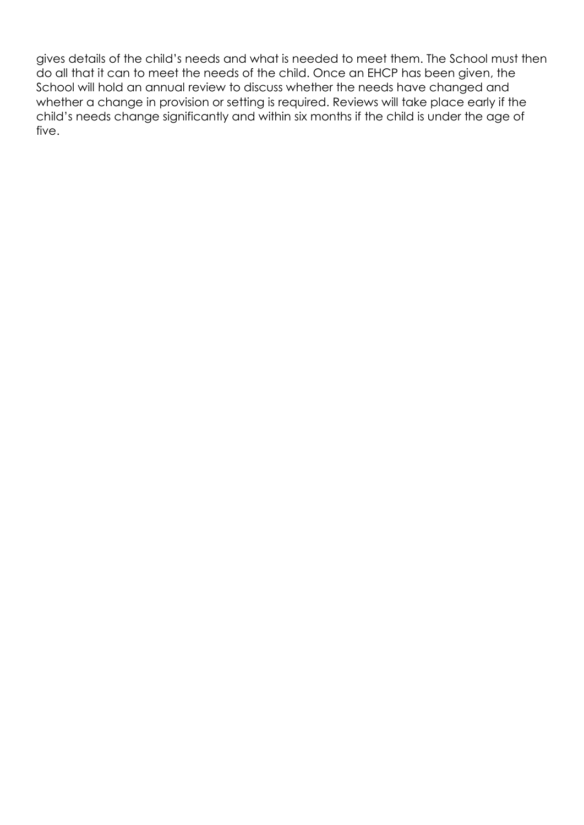gives details of the child's needs and what is needed to meet them. The School must then do all that it can to meet the needs of the child. Once an EHCP has been given, the School will hold an annual review to discuss whether the needs have changed and whether a change in provision or setting is required. Reviews will take place early if the child's needs change significantly and within six months if the child is under the age of five.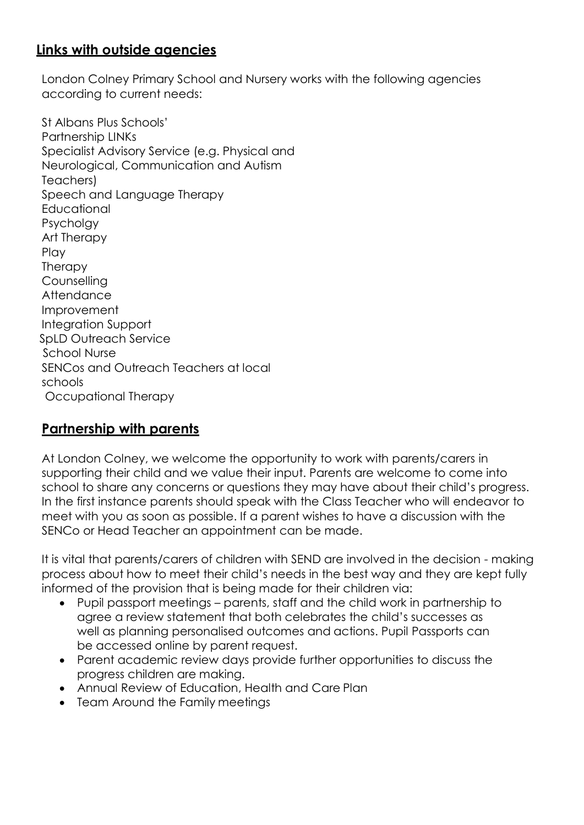## **Links with outside agencies**

London Colney Primary School and Nursery works with the following agencies according to current needs:

St Albans Plus Schools' Partnership LINKs Specialist Advisory Service (e.g. Physical and Neurological, Communication and Autism Teachers) Speech and Language Therapy **Educational** Psycholgy Art Therapy Play **Therapy** Counselling **Attendance** Improvement Integration Support SpLD Outreach Service School Nurse SENCos and Outreach Teachers at local schools Occupational Therapy

#### **Partnership with parents**

At London Colney, we welcome the opportunity to work with parents/carers in supporting their child and we value their input. Parents are welcome to come into school to share any concerns or questions they may have about their child's progress. In the first instance parents should speak with the Class Teacher who will endeavor to meet with you as soon as possible. If a parent wishes to have a discussion with the SENCo or Head Teacher an appointment can be made.

It is vital that parents/carers of children with SEND are involved in the decision - making process about how to meet their child's needs in the best way and they are kept fully informed of the provision that is being made for their children via:

- Pupil passport meetings parents, staff and the child work in partnership to agree a review statement that both celebrates the child's successes as well as planning personalised outcomes and actions. Pupil Passports can be accessed online by parent request.
- Parent academic review days provide further opportunities to discuss the progress children are making.
- Annual Review of Education, Health and Care Plan
- Team Around the Family meetings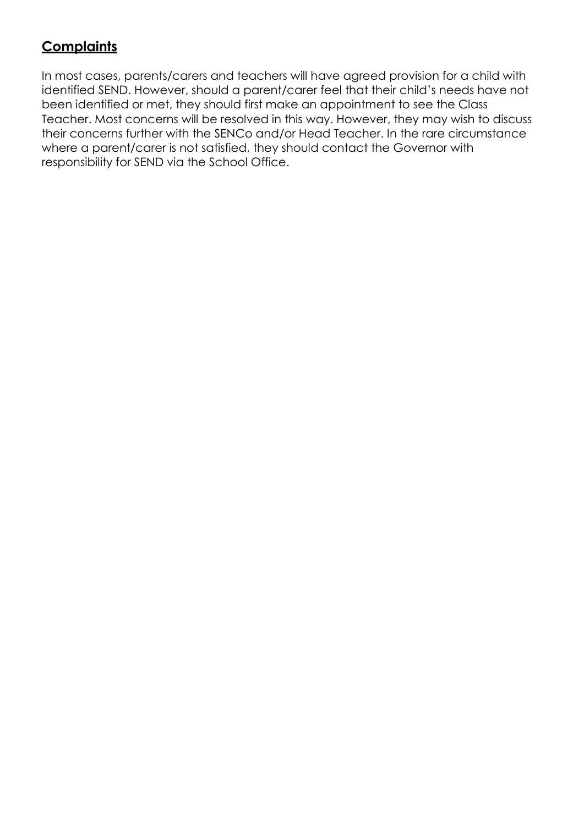# **Complaints**

In most cases, parents/carers and teachers will have agreed provision for a child with identified SEND. However, should a parent/carer feel that their child's needs have not been identified or met, they should first make an appointment to see the Class Teacher. Most concerns will be resolved in this way. However, they may wish to discuss their concerns further with the SENCo and/or Head Teacher. In the rare circumstance where a parent/carer is not satisfied, they should contact the Governor with responsibility for SEND via the School Office.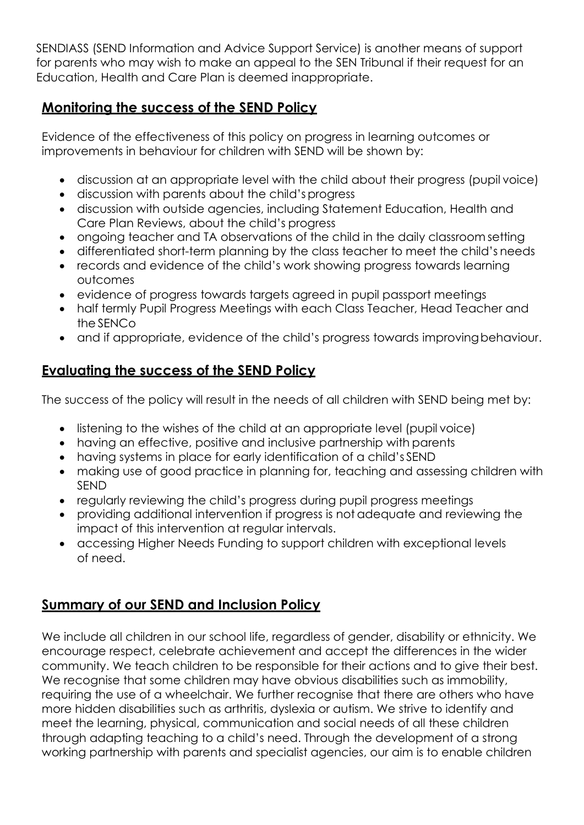SENDIASS (SEND Information and Advice Support Service) is another means of support for parents who may wish to make an appeal to the SEN Tribunal if their request for an Education, Health and Care Plan is deemed inappropriate.

# **Monitoring the success of the SEND Policy**

Evidence of the effectiveness of this policy on progress in learning outcomes or improvements in behaviour for children with SEND will be shown by:

- discussion at an appropriate level with the child about their progress (pupil voice)
- discussion with parents about the child's progress
- discussion with outside agencies, including Statement Education, Health and Care Plan Reviews, about the child's progress
- ongoing teacher and TA observations of the child in the daily classroom setting
- differentiated short-term planning by the class teacher to meet the child's needs
- records and evidence of the child's work showing progress towards learning outcomes
- evidence of progress towards targets agreed in pupil passport meetings
- half termly Pupil Progress Meetings with each Class Teacher, Head Teacher and the SENCo
- and if appropriate, evidence of the child's progress towards improving behaviour.

## **Evaluating the success of the SEND Policy**

The success of the policy will result in the needs of all children with SEND being met by:

- listening to the wishes of the child at an appropriate level (pupil voice)
- having an effective, positive and inclusive partnership with parents
- having systems in place for early identification of a child's SEND
- making use of good practice in planning for, teaching and assessing children with SEND
- regularly reviewing the child's progress during pupil progress meetings
- providing additional intervention if progress is not adequate and reviewing the impact of this intervention at regular intervals.
- accessing Higher Needs Funding to support children with exceptional levels of need.

# **Summary of our SEND and Inclusion Policy**

We include all children in our school life, regardless of gender, disability or ethnicity. We encourage respect, celebrate achievement and accept the differences in the wider community. We teach children to be responsible for their actions and to give their best. We recognise that some children may have obvious disabilities such as immobility, requiring the use of a wheelchair. We further recognise that there are others who have more hidden disabilities such as arthritis, dyslexia or autism. We strive to identify and meet the learning, physical, communication and social needs of all these children through adapting teaching to a child's need. Through the development of a strong working partnership with parents and specialist agencies, our aim is to enable children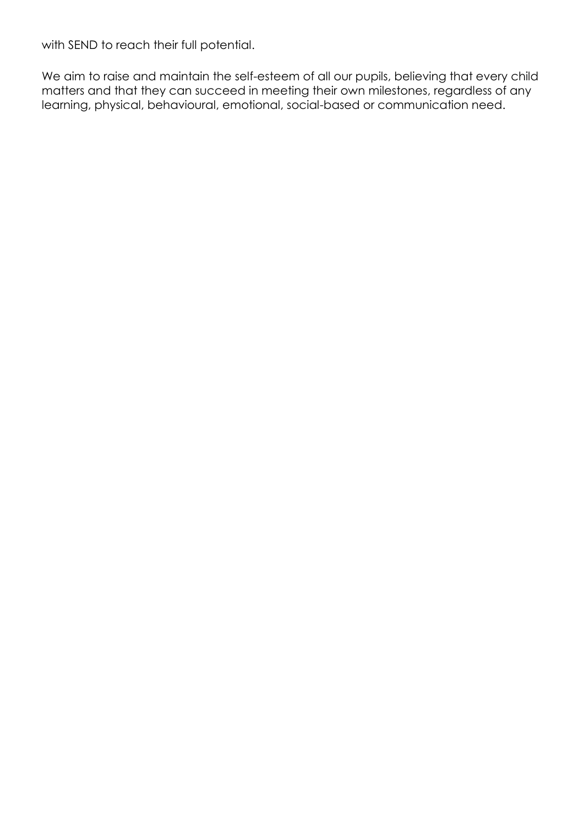with SEND to reach their full potential.

We aim to raise and maintain the self-esteem of all our pupils, believing that every child matters and that they can succeed in meeting their own milestones, regardless of any learning, physical, behavioural, emotional, social-based or communication need.